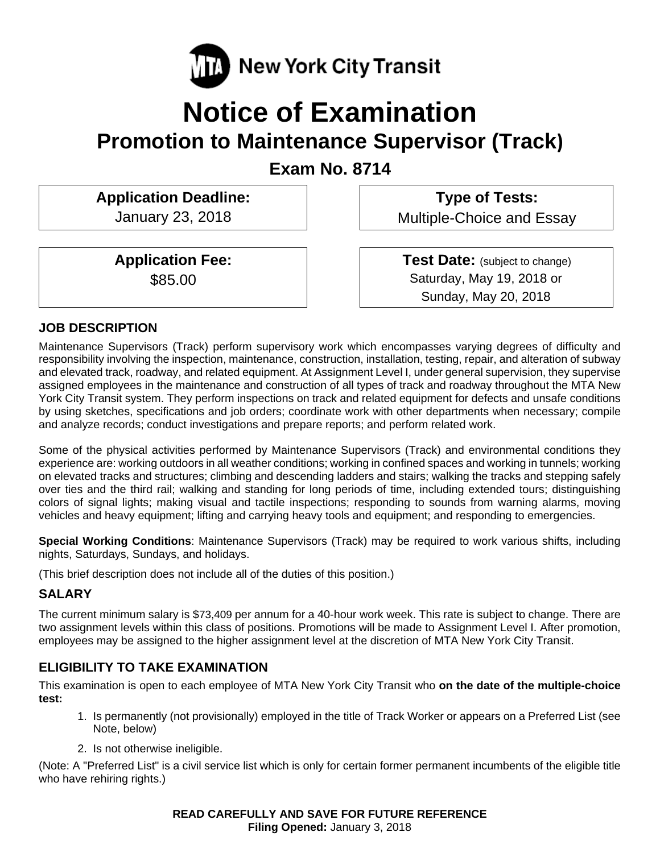

# **Notice of Examination Promotion to Maintenance Supervisor (Track)**

**Exam No. 8714** 

**Application Deadline:**  January 23, 2018

> **Application Fee:**  \$85.00

 **Type of Tests:**  Multiple-Choice and Essay

 **Test Date:** (subject to change) Saturday, May 19, 2018 or Sunday, May 20, 2018

## **JOB DESCRIPTION**

Maintenance Supervisors (Track) perform supervisory work which encompasses varying degrees of difficulty and responsibility involving the inspection, maintenance, construction, installation, testing, repair, and alteration of subway and elevated track, roadway, and related equipment. At Assignment Level I, under general supervision, they supervise assigned employees in the maintenance and construction of all types of track and roadway throughout the MTA New York City Transit system. They perform inspections on track and related equipment for defects and unsafe conditions by using sketches, specifications and job orders; coordinate work with other departments when necessary; compile and analyze records; conduct investigations and prepare reports; and perform related work.

Some of the physical activities performed by Maintenance Supervisors (Track) and environmental conditions they experience are: working outdoors in all weather conditions; working in confined spaces and working in tunnels; working on elevated tracks and structures; climbing and descending ladders and stairs; walking the tracks and stepping safely over ties and the third rail; walking and standing for long periods of time, including extended tours; distinguishing colors of signal lights; making visual and tactile inspections; responding to sounds from warning alarms, moving vehicles and heavy equipment; lifting and carrying heavy tools and equipment; and responding to emergencies.

**Special Working Conditions**: Maintenance Supervisors (Track) may be required to work various shifts, including nights, Saturdays, Sundays, and holidays.

(This brief description does not include all of the duties of this position.)

## **SALARY**

The current minimum salary is \$73,409 per annum for a 40-hour work week. This rate is subject to change. There are two assignment levels within this class of positions. Promotions will be made to Assignment Level I. After promotion, employees may be assigned to the higher assignment level at the discretion of MTA New York City Transit.

## **ELIGIBILITY TO TAKE EXAMINATION**

This examination is open to each employee of MTA New York City Transit who **on the date of the multiple-choice test:** 

- 1. Is permanently (not provisionally) employed in the title of Track Worker or appears on a Preferred List (see Note, below)
- 2. Is not otherwise ineligible.

(Note: A "Preferred List" is a civil service list which is only for certain former permanent incumbents of the eligible title who have rehiring rights.)

> **READ CAREFULLY AND SAVE FOR FUTURE REFERENCE Filing Opened:** January 3, 2018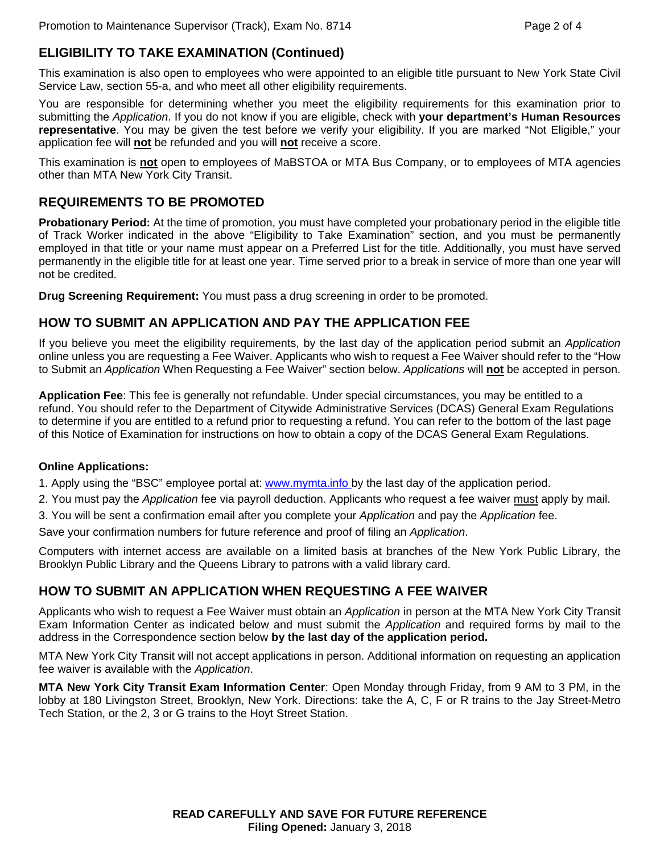## **ELIGIBILITY TO TAKE EXAMINATION (Continued)**

This examination is also open to employees who were appointed to an eligible title pursuant to New York State Civil Service Law, section 55-a, and who meet all other eligibility requirements.

You are responsible for determining whether you meet the eligibility requirements for this examination prior to submitting the *Application*. If you do not know if you are eligible, check with **your department's Human Resources representative**. You may be given the test before we verify your eligibility. If you are marked "Not Eligible," your application fee will **not** be refunded and you will **not** receive a score.

This examination is **not** open to employees of MaBSTOA or MTA Bus Company, or to employees of MTA agencies other than MTA New York City Transit.

#### **REQUIREMENTS TO BE PROMOTED**

**Probationary Period:** At the time of promotion, you must have completed your probationary period in the eligible title of Track Worker indicated in the above "Eligibility to Take Examination" section, and you must be permanently employed in that title or your name must appear on a Preferred List for the title. Additionally, you must have served permanently in the eligible title for at least one year. Time served prior to a break in service of more than one year will not be credited.

**Drug Screening Requirement:** You must pass a drug screening in order to be promoted.

### **HOW TO SUBMIT AN APPLICATION AND PAY THE APPLICATION FEE**

If you believe you meet the eligibility requirements, by the last day of the application period submit an *Application* online unless you are requesting a Fee Waiver. Applicants who wish to request a Fee Waiver should refer to the "How to Submit an *Application* When Requesting a Fee Waiver" section below. *Applications* will **not** be accepted in person.

**Application Fee**: This fee is generally not refundable. Under special circumstances, you may be entitled to a refund. You should refer to the Department of Citywide Administrative Services (DCAS) General Exam Regulations to determine if you are entitled to a refund prior to requesting a refund. You can refer to the bottom of the last page of this Notice of Examination for instructions on how to obtain a copy of the DCAS General Exam Regulations.

#### **Online Applications:**

1. Apply using the "BSC" employee portal at: www.mymta.info by the last day of the application period.

2. You must pay the *Application* fee via payroll deduction. Applicants who request a fee waiver must apply by mail.

3. You will be sent a confirmation email after you complete your *Application* and pay the *Application* fee.

Save your confirmation numbers for future reference and proof of filing an *Application*.

Computers with internet access are available on a limited basis at branches of the New York Public Library, the Brooklyn Public Library and the Queens Library to patrons with a valid library card.

## **HOW TO SUBMIT AN APPLICATION WHEN REQUESTING A FEE WAIVER**

Applicants who wish to request a Fee Waiver must obtain an *Application* in person at the MTA New York City Transit Exam Information Center as indicated below and must submit the *Application* and required forms by mail to the address in the Correspondence section below **by the last day of the application period.**

MTA New York City Transit will not accept applications in person. Additional information on requesting an application fee waiver is available with the *Application*.

**MTA New York City Transit Exam Information Center**: Open Monday through Friday, from 9 AM to 3 PM, in the lobby at 180 Livingston Street, Brooklyn, New York. Directions: take the A, C, F or R trains to the Jay Street-Metro Tech Station, or the 2, 3 or G trains to the Hoyt Street Station.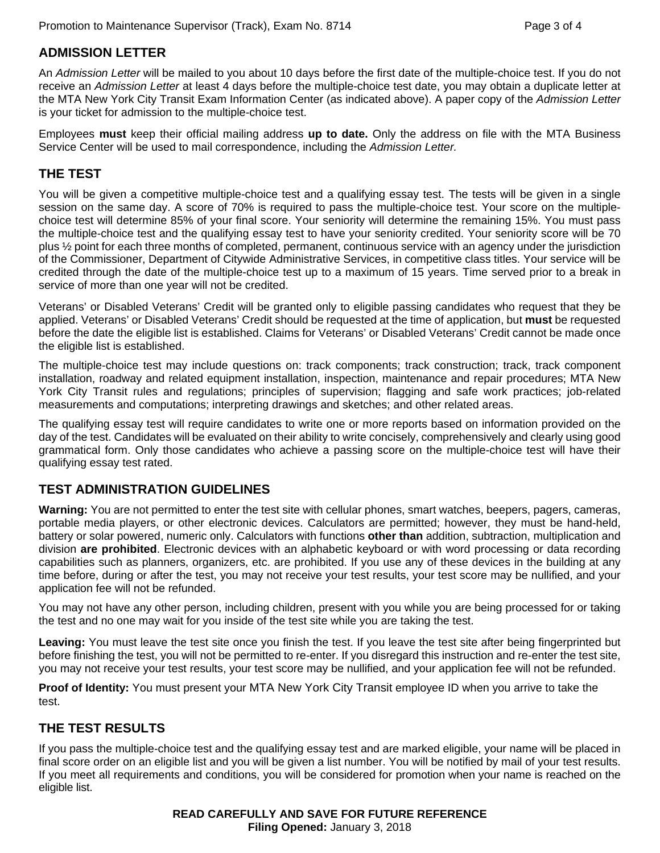#### **ADMISSION LETTER**

An *Admission Letter* will be mailed to you about 10 days before the first date of the multiple-choice test. If you do not receive an *Admission Letter* at least 4 days before the multiple-choice test date, you may obtain a duplicate letter at the MTA New York City Transit Exam Information Center (as indicated above). A paper copy of the *Admission Letter* is your ticket for admission to the multiple-choice test.

Employees **must** keep their official mailing address **up to date.** Only the address on file with the MTA Business Service Center will be used to mail correspondence, including the *Admission Letter.* 

### **THE TEST**

You will be given a competitive multiple-choice test and a qualifying essay test. The tests will be given in a single session on the same day. A score of 70% is required to pass the multiple-choice test. Your score on the multiplechoice test will determine 85% of your final score. Your seniority will determine the remaining 15%. You must pass the multiple-choice test and the qualifying essay test to have your seniority credited. Your seniority score will be 70 plus ½ point for each three months of completed, permanent, continuous service with an agency under the jurisdiction of the Commissioner, Department of Citywide Administrative Services, in competitive class titles. Your service will be credited through the date of the multiple-choice test up to a maximum of 15 years. Time served prior to a break in service of more than one year will not be credited.

Veterans' or Disabled Veterans' Credit will be granted only to eligible passing candidates who request that they be applied. Veterans' or Disabled Veterans' Credit should be requested at the time of application, but **must** be requested before the date the eligible list is established. Claims for Veterans' or Disabled Veterans' Credit cannot be made once the eligible list is established.

The multiple-choice test may include questions on: track components; track construction; track, track component installation, roadway and related equipment installation, inspection, maintenance and repair procedures; MTA New York City Transit rules and regulations; principles of supervision; flagging and safe work practices; job-related measurements and computations; interpreting drawings and sketches; and other related areas.

The qualifying essay test will require candidates to write one or more reports based on information provided on the day of the test. Candidates will be evaluated on their ability to write concisely, comprehensively and clearly using good grammatical form. Only those candidates who achieve a passing score on the multiple-choice test will have their qualifying essay test rated.

#### **TEST ADMINISTRATION GUIDELINES**

**Warning:** You are not permitted to enter the test site with cellular phones, smart watches, beepers, pagers, cameras, portable media players, or other electronic devices. Calculators are permitted; however, they must be hand-held, battery or solar powered, numeric only. Calculators with functions **other than** addition, subtraction, multiplication and division **are prohibited**. Electronic devices with an alphabetic keyboard or with word processing or data recording capabilities such as planners, organizers, etc. are prohibited. If you use any of these devices in the building at any time before, during or after the test, you may not receive your test results, your test score may be nullified, and your application fee will not be refunded.

You may not have any other person, including children, present with you while you are being processed for or taking the test and no one may wait for you inside of the test site while you are taking the test.

**Leaving:** You must leave the test site once you finish the test. If you leave the test site after being fingerprinted but before finishing the test, you will not be permitted to re-enter. If you disregard this instruction and re-enter the test site, you may not receive your test results, your test score may be nullified, and your application fee will not be refunded.

**Proof of Identity:** You must present your MTA New York City Transit employee ID when you arrive to take the test.

#### **THE TEST RESULTS**

If you pass the multiple-choice test and the qualifying essay test and are marked eligible, your name will be placed in final score order on an eligible list and you will be given a list number. You will be notified by mail of your test results. If you meet all requirements and conditions, you will be considered for promotion when your name is reached on the eligible list.